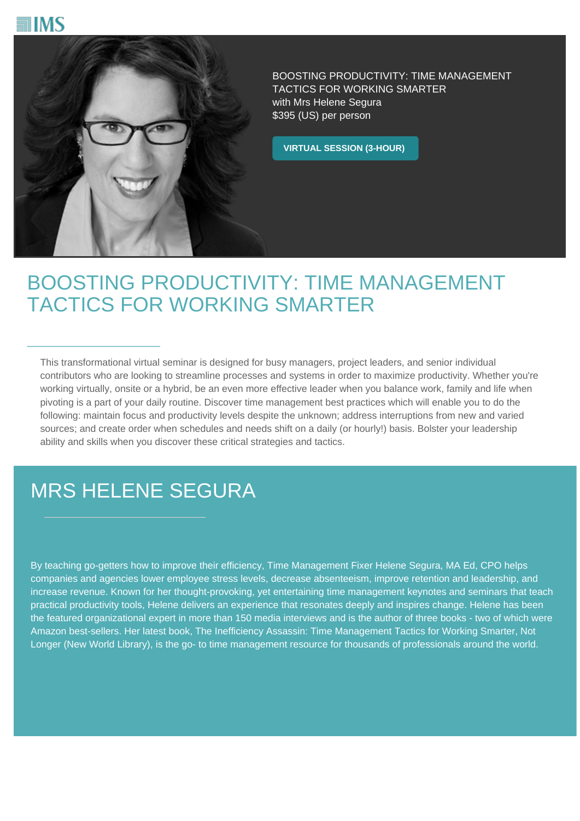



BOOSTING PRODUCTIVITY: TIME MANAGEMENT TACTICS FOR WORKING SMARTER with Mrs Helene Segura \$395 (US) per person

**VIRTUAL SESSION (3-HOUR)**

## BOOSTING PRODUCTIVITY: TIME MANAGEMENT TACTICS FOR WORKING SMARTER

This transformational virtual seminar is designed for busy managers, project leaders, and senior individual contributors who are looking to streamline processes and systems in order to maximize productivity. Whether you're working virtually, onsite or a hybrid, be an even more effective leader when you balance work, family and life when pivoting is a part of your daily routine. Discover time management best practices which will enable you to do the following: maintain focus and productivity levels despite the unknown; address interruptions from new and varied sources; and create order when schedules and needs shift on a daily (or hourly!) basis. Bolster your leadership ability and skills when you discover these critical strategies and tactics.

## MRS HELENE SEGURA

By teaching go-getters how to improve their efficiency, Time Management Fixer Helene Segura, MA Ed, CPO helps companies and agencies lower employee stress levels, decrease absenteeism, improve retention and leadership, and increase revenue. Known for her thought-provoking, yet entertaining time management keynotes and seminars that teach practical productivity tools, Helene delivers an experience that resonates deeply and inspires change. Helene has been the featured organizational expert in more than 150 media interviews and is the author of three books - two of which were Amazon best-sellers. Her latest book, The Inefficiency Assassin: Time Management Tactics for Working Smarter, Not Longer (New World Library), is the go- to time management resource for thousands of professionals around the world.